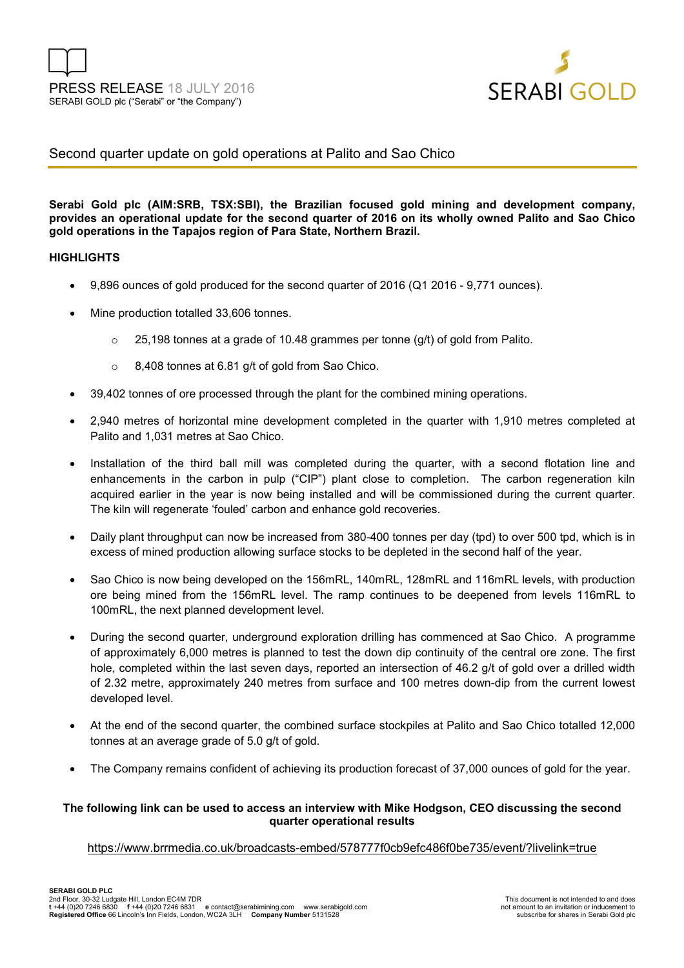

# Second quarter update on gold operations at Palito and Sao Chico

**Serabi Gold plc (AIM:SRB, TSX:SBI), the Brazilian focused gold mining and development company, provides an operational update for the second quarter of 2016 on its wholly owned Palito and Sao Chico gold operations in the Tapajos region of Para State, Northern Brazil.** 

#### **HIGHLIGHTS**

- 9,896 ounces of gold produced for the second quarter of 2016 (Q1 2016 9,771 ounces).
- Mine production totalled 33,606 tonnes.
	- o 25,198 tonnes at a grade of 10.48 grammes per tonne (g/t) of gold from Palito.
	- o 8,408 tonnes at 6.81 g/t of gold from Sao Chico.
- 39,402 tonnes of ore processed through the plant for the combined mining operations.
- 2,940 metres of horizontal mine development completed in the quarter with 1,910 metres completed at Palito and 1,031 metres at Sao Chico.
- Installation of the third ball mill was completed during the quarter, with a second flotation line and enhancements in the carbon in pulp ("CIP") plant close to completion. The carbon regeneration kiln acquired earlier in the year is now being installed and will be commissioned during the current quarter. The kiln will regenerate 'fouled' carbon and enhance gold recoveries.
- Daily plant throughput can now be increased from 380-400 tonnes per day (tpd) to over 500 tpd, which is in excess of mined production allowing surface stocks to be depleted in the second half of the year.
- Sao Chico is now being developed on the 156mRL, 140mRL, 128mRL and 116mRL levels, with production ore being mined from the 156mRL level. The ramp continues to be deepened from levels 116mRL to 100mRL, the next planned development level.
- During the second quarter, underground exploration drilling has commenced at Sao Chico. A programme of approximately 6,000 metres is planned to test the down dip continuity of the central ore zone. The first hole, completed within the last seven days, reported an intersection of 46.2 g/t of gold over a drilled width of 2.32 metre, approximately 240 metres from surface and 100 metres down-dip from the current lowest developed level.
- At the end of the second quarter, the combined surface stockpiles at Palito and Sao Chico totalled 12,000 tonnes at an average grade of 5.0 g/t of gold.
- The Company remains confident of achieving its production forecast of 37,000 ounces of gold for the year.

### **The following link can be used to access an interview with Mike Hodgson, CEO discussing the second quarter operational results**

#### https://www.brrmedia.co.uk/broadcasts-embed/578777f0cb9efc486f0be735/event/?livelink=true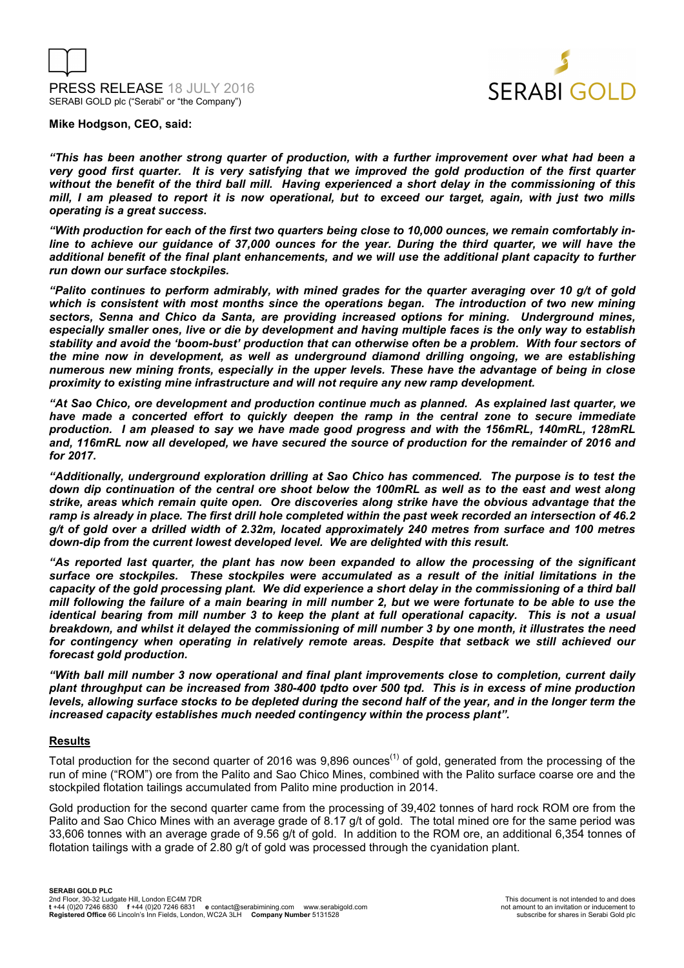



**Mike Hodgson, CEO, said:** 

*"This has been another strong quarter of production, with a further improvement over what had been a very good first quarter. It is very satisfying that we improved the gold production of the first quarter without the benefit of the third ball mill. Having experienced a short delay in the commissioning of this mill, I am pleased to report it is now operational, but to exceed our target, again, with just two mills operating is a great success.* 

*"With production for each of the first two quarters being close to 10,000 ounces, we remain comfortably inline to achieve our guidance of 37,000 ounces for the year. During the third quarter, we will have the additional benefit of the final plant enhancements, and we will use the additional plant capacity to further run down our surface stockpiles.* 

*"Palito continues to perform admirably, with mined grades for the quarter averaging over 10 g/t of gold which is consistent with most months since the operations began. The introduction of two new mining sectors, Senna and Chico da Santa, are providing increased options for mining. Underground mines, especially smaller ones, live or die by development and having multiple faces is the only way to establish stability and avoid the 'boom-bust' production that can otherwise often be a problem. With four sectors of the mine now in development, as well as underground diamond drilling ongoing, we are establishing numerous new mining fronts, especially in the upper levels. These have the advantage of being in close proximity to existing mine infrastructure and will not require any new ramp development.* 

*"At Sao Chico, ore development and production continue much as planned. As explained last quarter, we have made a concerted effort to quickly deepen the ramp in the central zone to secure immediate production. I am pleased to say we have made good progress and with the 156mRL, 140mRL, 128mRL and, 116mRL now all developed, we have secured the source of production for the remainder of 2016 and for 2017.* 

*"Additionally, underground exploration drilling at Sao Chico has commenced. The purpose is to test the down dip continuation of the central ore shoot below the 100mRL as well as to the east and west along strike, areas which remain quite open. Ore discoveries along strike have the obvious advantage that the ramp is already in place. The first drill hole completed within the past week recorded an intersection of 46.2 g/t of gold over a drilled width of 2.32m, located approximately 240 metres from surface and 100 metres down-dip from the current lowest developed level. We are delighted with this result.* 

*"As reported last quarter, the plant has now been expanded to allow the processing of the significant surface ore stockpiles. These stockpiles were accumulated as a result of the initial limitations in the capacity of the gold processing plant. We did experience a short delay in the commissioning of a third ball mill following the failure of a main bearing in mill number 2, but we were fortunate to be able to use the identical bearing from mill number 3 to keep the plant at full operational capacity. This is not a usual breakdown, and whilst it delayed the commissioning of mill number 3 by one month, it illustrates the need for contingency when operating in relatively remote areas. Despite that setback we still achieved our forecast gold production.* 

*"With ball mill number 3 now operational and final plant improvements close to completion, current daily plant throughput can be increased from 380-400 tpdto over 500 tpd. This is in excess of mine production levels, allowing surface stocks to be depleted during the second half of the year, and in the longer term the increased capacity establishes much needed contingency within the process plant".* 

#### **Results**

Total production for the second quarter of 2016 was 9,896 ounces<sup>(1)</sup> of gold, generated from the processing of the run of mine ("ROM") ore from the Palito and Sao Chico Mines, combined with the Palito surface coarse ore and the stockpiled flotation tailings accumulated from Palito mine production in 2014.

Gold production for the second quarter came from the processing of 39,402 tonnes of hard rock ROM ore from the Palito and Sao Chico Mines with an average grade of 8.17 g/t of gold. The total mined ore for the same period was 33,606 tonnes with an average grade of 9.56 g/t of gold. In addition to the ROM ore, an additional 6,354 tonnes of flotation tailings with a grade of 2.80 g/t of gold was processed through the cyanidation plant.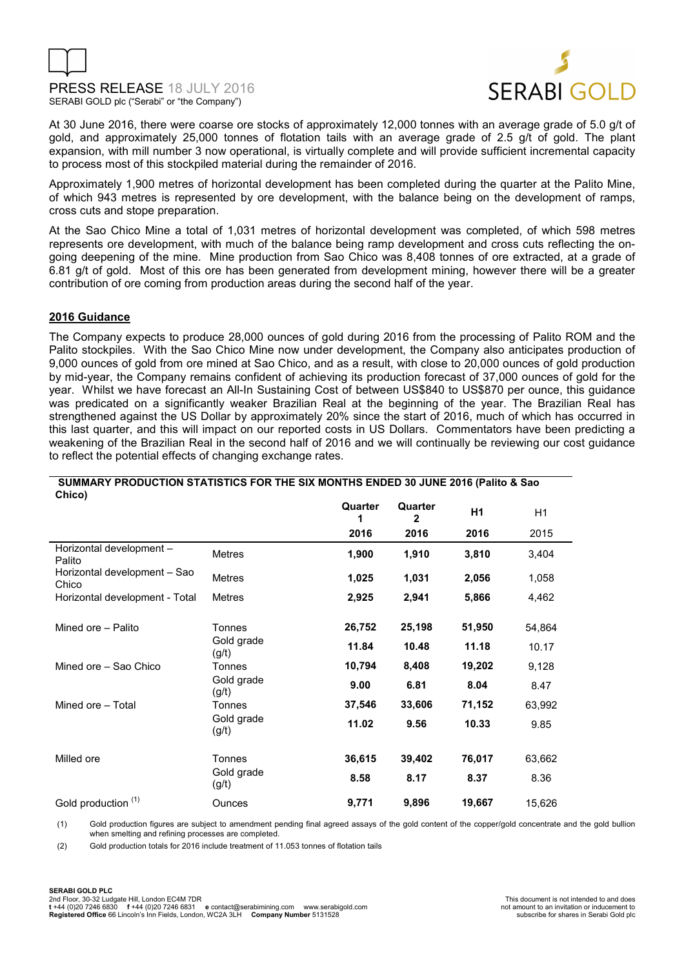



At 30 June 2016, there were coarse ore stocks of approximately 12,000 tonnes with an average grade of 5.0 g/t of gold, and approximately 25,000 tonnes of flotation tails with an average grade of 2.5 g/t of gold. The plant expansion, with mill number 3 now operational, is virtually complete and will provide sufficient incremental capacity to process most of this stockpiled material during the remainder of 2016.

Approximately 1,900 metres of horizontal development has been completed during the quarter at the Palito Mine, of which 943 metres is represented by ore development, with the balance being on the development of ramps, cross cuts and stope preparation.

At the Sao Chico Mine a total of 1,031 metres of horizontal development was completed, of which 598 metres represents ore development, with much of the balance being ramp development and cross cuts reflecting the ongoing deepening of the mine. Mine production from Sao Chico was 8,408 tonnes of ore extracted, at a grade of 6.81 g/t of gold. Most of this ore has been generated from development mining, however there will be a greater contribution of ore coming from production areas during the second half of the year.

#### **2016 Guidance**

The Company expects to produce 28,000 ounces of gold during 2016 from the processing of Palito ROM and the Palito stockpiles. With the Sao Chico Mine now under development, the Company also anticipates production of 9,000 ounces of gold from ore mined at Sao Chico, and as a result, with close to 20,000 ounces of gold production by mid-year, the Company remains confident of achieving its production forecast of 37,000 ounces of gold for the year. Whilst we have forecast an All-In Sustaining Cost of between US\$840 to US\$870 per ounce, this guidance was predicated on a significantly weaker Brazilian Real at the beginning of the year. The Brazilian Real has strengthened against the US Dollar by approximately 20% since the start of 2016, much of which has occurred in this last quarter, and this will impact on our reported costs in US Dollars. Commentators have been predicting a weakening of the Brazilian Real in the second half of 2016 and we will continually be reviewing our cost guidance to reflect the potential effects of changing exchange rates.

| Chico)                                |                     |              |                         |                |        |
|---------------------------------------|---------------------|--------------|-------------------------|----------------|--------|
|                                       |                     | Quarter<br>1 | Quarter<br>$\mathbf{2}$ | H <sub>1</sub> | H1     |
|                                       |                     | 2016         | 2016                    | 2016           | 2015   |
| Horizontal development -<br>Palito    | <b>Metres</b>       | 1,900        | 1,910                   | 3,810          | 3,404  |
| Horizontal development - Sao<br>Chico | <b>Metres</b>       | 1,025        | 1,031                   | 2,056          | 1,058  |
| Horizontal development - Total        | <b>Metres</b>       | 2,925        | 2,941                   | 5,866          | 4,462  |
| Mined ore - Palito                    | <b>Tonnes</b>       | 26,752       | 25,198                  | 51,950         | 54,864 |
|                                       | Gold grade<br>(g/t) | 11.84        | 10.48                   | 11.18          | 10.17  |
| Mined ore – Sao Chico                 | Tonnes              | 10,794       | 8,408                   | 19,202         | 9,128  |
|                                       | Gold grade<br>(g/t) | 9.00         | 6.81                    | 8.04           | 8.47   |
| Mined ore - Total                     | Tonnes              | 37,546       | 33,606                  | 71,152         | 63,992 |
|                                       | Gold grade<br>(g/t) | 11.02        | 9.56                    | 10.33          | 9.85   |
| Milled ore                            | Tonnes              | 36,615       | 39,402                  | 76,017         | 63,662 |
|                                       | Gold grade<br>(g/t) | 8.58         | 8.17                    | 8.37           | 8.36   |
| Gold production (1)                   | Ounces              | 9,771        | 9,896                   | 19,667         | 15,626 |

# **SUMMARY PRODUCTION STATISTICS FOR THE SIX MONTHS ENDED 30 JUNE 2016 (Palito & Sao**

(1) Gold production figures are subject to amendment pending final agreed assays of the gold content of the copper/gold concentrate and the gold bullion when smelting and refining processes are completed.

(2) Gold production totals for 2016 include treatment of 11.053 tonnes of flotation tails